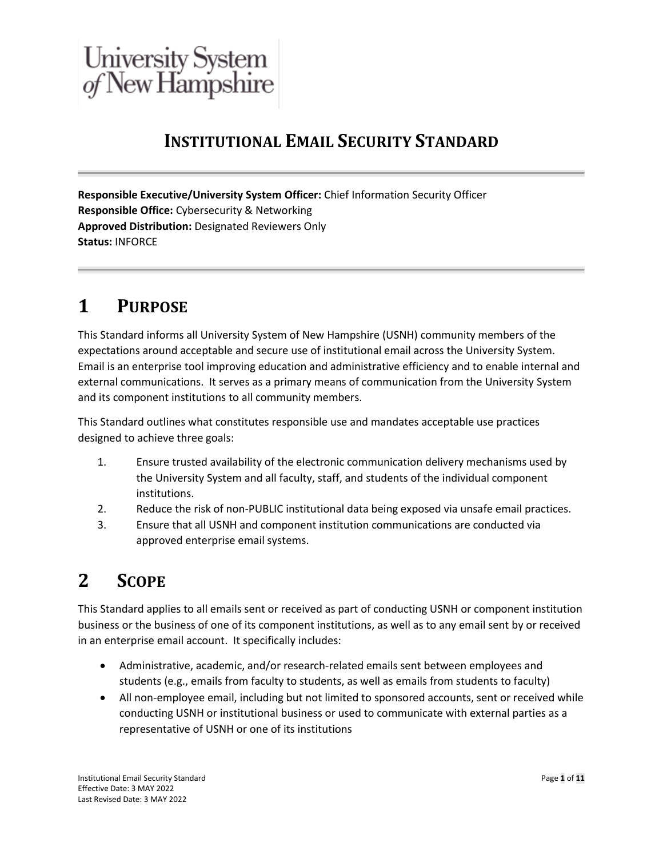# **INSTITUTIONAL EMAIL SECURITY STANDARD**

**Responsible Executive/University System Officer:** Chief Information Security Officer **Responsible Office:** Cybersecurity & Networking **Approved Distribution:** Designated Reviewers Only **Status:** INFORCE

# **1 PURPOSE**

This Standard informs all University System of New Hampshire (USNH) community members of the expectations around acceptable and secure use of institutional email across the University System. Email is an enterprise tool improving education and administrative efficiency and to enable internal and external communications. It serves as a primary means of communication from the University System and its component institutions to all community members.

This Standard outlines what constitutes responsible use and mandates acceptable use practices designed to achieve three goals:

- 1. Ensure trusted availability of the electronic communication delivery mechanisms used by the University System and all faculty, staff, and students of the individual component institutions.
- 2. Reduce the risk of non-PUBLIC institutional data being exposed via unsafe email practices.
- 3. Ensure that all USNH and component institution communications are conducted via approved enterprise email systems.

# **2 SCOPE**

This Standard applies to all emails sent or received as part of conducting USNH or component institution business or the business of one of its component institutions, as well as to any email sent by or received in an enterprise email account. It specifically includes:

- Administrative, academic, and/or research-related emails sent between employees and students (e.g., emails from faculty to students, as well as emails from students to faculty)
- All non-employee email, including but not limited to sponsored accounts, sent or received while conducting USNH or institutional business or used to communicate with external parties as a representative of USNH or one of its institutions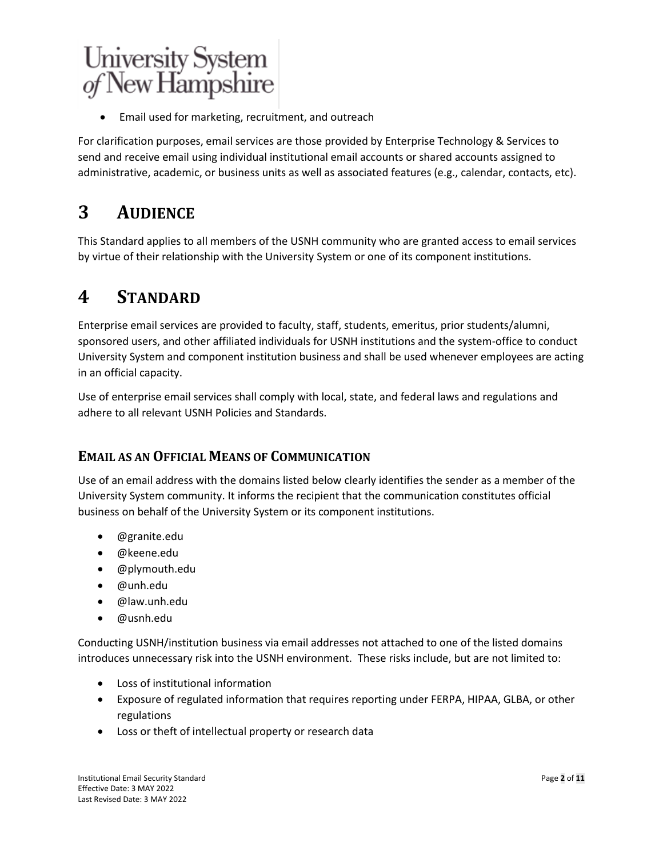• Email used for marketing, recruitment, and outreach

For clarification purposes, email services are those provided by Enterprise Technology & Services to send and receive email using individual institutional email accounts or shared accounts assigned to administrative, academic, or business units as well as associated features (e.g., calendar, contacts, etc).

# **3 AUDIENCE**

This Standard applies to all members of the USNH community who are granted access to email services by virtue of their relationship with the University System or one of its component institutions.

## **4 STANDARD**

Enterprise email services are provided to faculty, staff, students, emeritus, prior students/alumni, sponsored users, and other affiliated individuals for USNH institutions and the system-office to conduct University System and component institution business and shall be used whenever employees are acting in an official capacity.

Use of enterprise email services shall comply with local, state, and federal laws and regulations and adhere to all relevant USNH Policies and Standards.

## **EMAIL AS AN OFFICIAL MEANS OF COMMUNICATION**

Use of an email address with the domains listed below clearly identifies the sender as a member of the University System community. It informs the recipient that the communication constitutes official business on behalf of the University System or its component institutions.

- @granite.edu
- @keene.edu
- @plymouth.edu
- @unh.edu
- @law.unh.edu
- @usnh.edu

Conducting USNH/institution business via email addresses not attached to one of the listed domains introduces unnecessary risk into the USNH environment. These risks include, but are not limited to:

- Loss of institutional information
- Exposure of regulated information that requires reporting under FERPA, HIPAA, GLBA, or other regulations
- Loss or theft of intellectual property or research data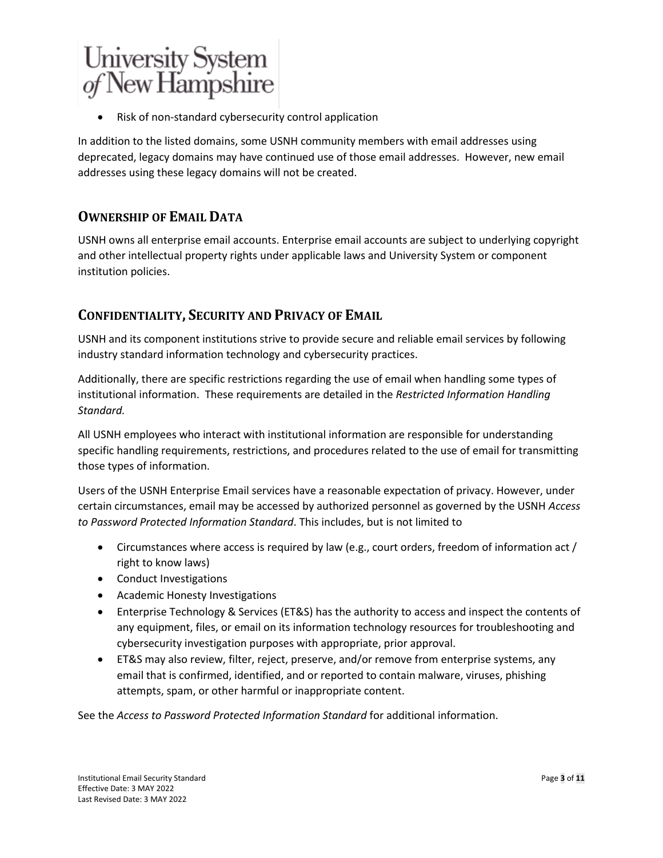Risk of non-standard cybersecurity control application

In addition to the listed domains, some USNH community members with email addresses using deprecated, legacy domains may have continued use of those email addresses. However, new email addresses using these legacy domains will not be created.

## **OWNERSHIP OF EMAIL DATA**

USNH owns all enterprise email accounts. Enterprise email accounts are subject to underlying copyright and other intellectual property rights under applicable laws and University System or component institution policies.

## **CONFIDENTIALITY, SECURITY AND PRIVACY OF EMAIL**

USNH and its component institutions strive to provide secure and reliable email services by following industry standard information technology and cybersecurity practices.

Additionally, there are specific restrictions regarding the use of email when handling some types of institutional information. These requirements are detailed in the *Restricted Information Handling Standard.*

All USNH employees who interact with institutional information are responsible for understanding specific handling requirements, restrictions, and procedures related to the use of email for transmitting those types of information.

Users of the USNH Enterprise Email services have a reasonable expectation of privacy. However, under certain circumstances, email may be accessed by authorized personnel as governed by the USNH *Access to Password Protected Information Standard*. This includes, but is not limited to

- Circumstances where access is required by law (e.g., court orders, freedom of information act / right to know laws)
- Conduct Investigations
- Academic Honesty Investigations
- Enterprise Technology & Services (ET&S) has the authority to access and inspect the contents of any equipment, files, or email on its information technology resources for troubleshooting and cybersecurity investigation purposes with appropriate, prior approval.
- ET&S may also review, filter, reject, preserve, and/or remove from enterprise systems, any email that is confirmed, identified, and or reported to contain malware, viruses, phishing attempts, spam, or other harmful or inappropriate content.

See the *Access to Password Protected Information Standard* for additional information.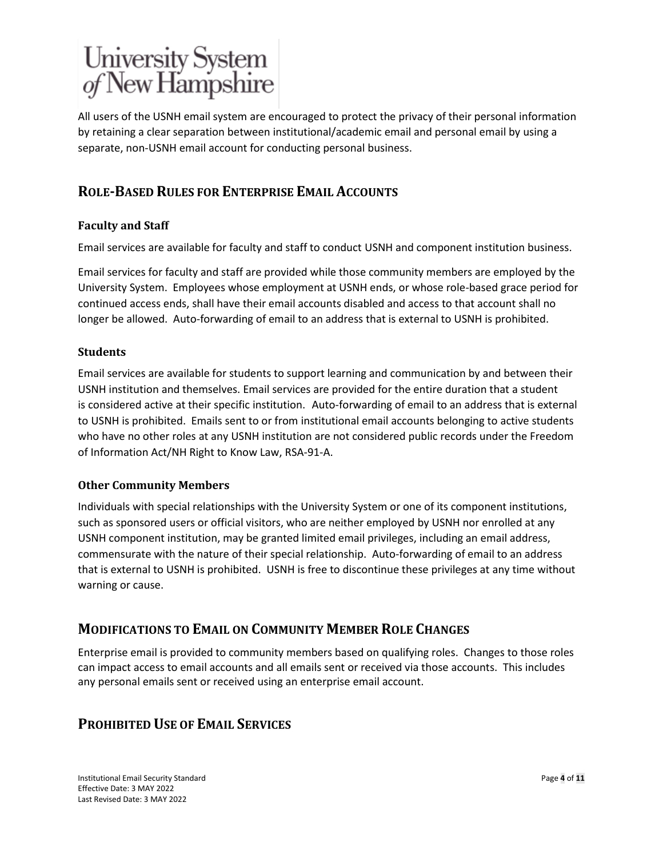All users of the USNH email system are encouraged to protect the privacy of their personal information by retaining a clear separation between institutional/academic email and personal email by using a separate, non-USNH email account for conducting personal business.

## **ROLE-BASED RULES FOR ENTERPRISE EMAIL ACCOUNTS**

### **Faculty and Staff**

Email services are available for faculty and staff to conduct USNH and component institution business.

Email services for faculty and staff are provided while those community members are employed by the University System. Employees whose employment at USNH ends, or whose role-based grace period for continued access ends, shall have their email accounts disabled and access to that account shall no longer be allowed. Auto-forwarding of email to an address that is external to USNH is prohibited.

#### **Students**

Email services are available for students to support learning and communication by and between their USNH institution and themselves. Email services are provided for the entire duration that a student is considered active at their specific institution. Auto-forwarding of email to an address that is external to USNH is prohibited. Emails sent to or from institutional email accounts belonging to active students who have no other roles at any USNH institution are not considered public records under the Freedom of Information Act/NH Right to Know Law, RSA-91-A.

#### **Other Community Members**

Individuals with special relationships with the University System or one of its component institutions, such as sponsored users or official visitors, who are neither employed by USNH nor enrolled at any USNH component institution, may be granted limited email privileges, including an email address, commensurate with the nature of their special relationship. Auto-forwarding of email to an address that is external to USNH is prohibited. USNH is free to discontinue these privileges at any time without warning or cause.

### **MODIFICATIONS TO EMAIL ON COMMUNITY MEMBER ROLE CHANGES**

Enterprise email is provided to community members based on qualifying roles. Changes to those roles can impact access to email accounts and all emails sent or received via those accounts. This includes any personal emails sent or received using an enterprise email account.

## **PROHIBITED USE OF EMAIL SERVICES**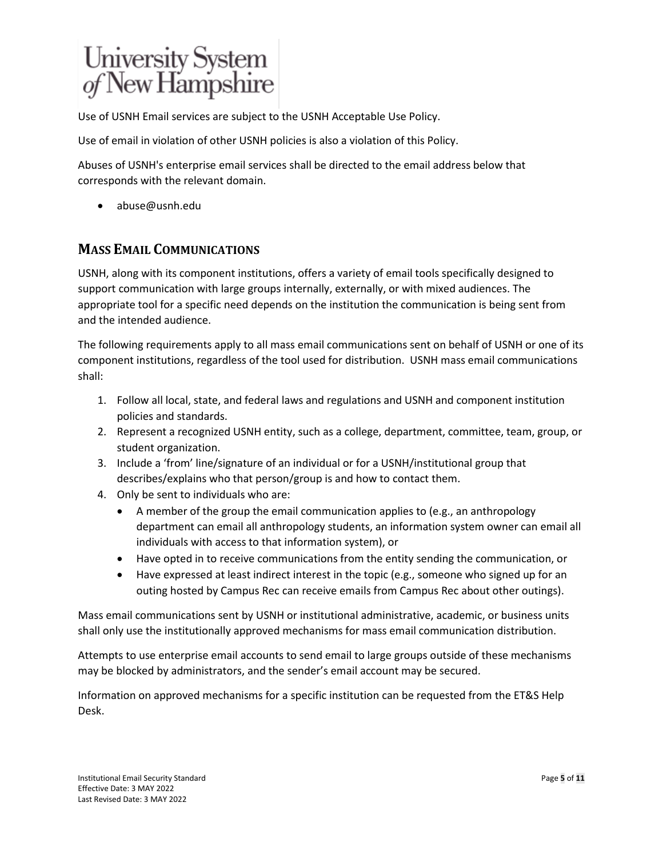Use of USNH Email services are subject to the USNH Acceptable Use Policy.

Use of email in violation of other USNH policies is also a violation of this Policy.

Abuses of USNH's enterprise email services shall be directed to the email address below that corresponds with the relevant domain.

• abuse@usnh.edu

## **MASS EMAIL COMMUNICATIONS**

USNH, along with its component institutions, offers a variety of email tools specifically designed to support communication with large groups internally, externally, or with mixed audiences. The appropriate tool for a specific need depends on the institution the communication is being sent from and the intended audience.

The following requirements apply to all mass email communications sent on behalf of USNH or one of its component institutions, regardless of the tool used for distribution. USNH mass email communications shall:

- 1. Follow all local, state, and federal laws and regulations and USNH and component institution policies and standards.
- 2. Represent a recognized USNH entity, such as a college, department, committee, team, group, or student organization.
- 3. Include a 'from' line/signature of an individual or for a USNH/institutional group that describes/explains who that person/group is and how to contact them.
- 4. Only be sent to individuals who are:
	- A member of the group the email communication applies to (e.g., an anthropology department can email all anthropology students, an information system owner can email all individuals with access to that information system), or
	- Have opted in to receive communications from the entity sending the communication, or
	- Have expressed at least indirect interest in the topic (e.g., someone who signed up for an outing hosted by Campus Rec can receive emails from Campus Rec about other outings).

Mass email communications sent by USNH or institutional administrative, academic, or business units shall only use the institutionally approved mechanisms for mass email communication distribution.

Attempts to use enterprise email accounts to send email to large groups outside of these mechanisms may be blocked by administrators, and the sender's email account may be secured.

Information on approved mechanisms for a specific institution can be requested from the ET&S Help Desk.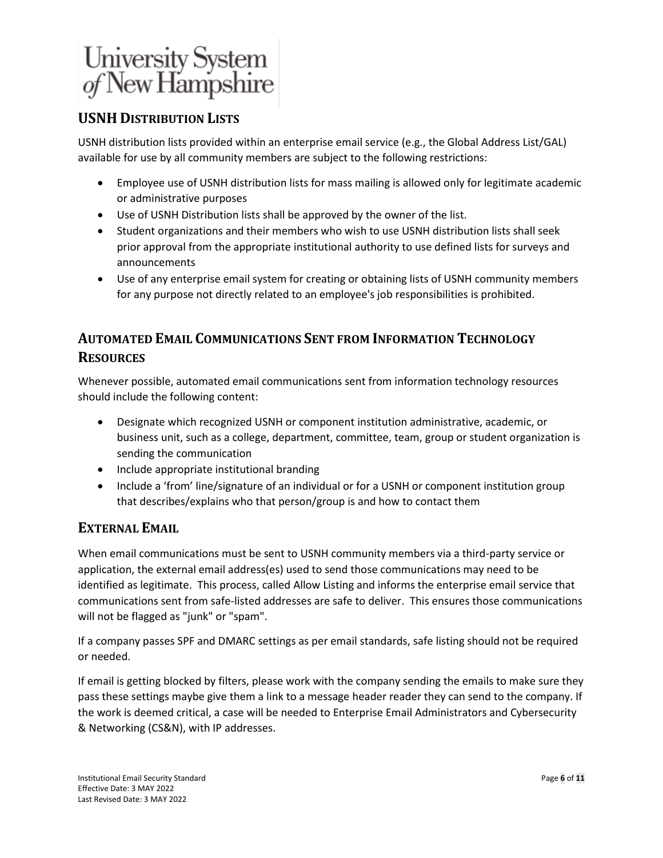## **USNH DISTRIBUTION LISTS**

USNH distribution lists provided within an enterprise email service (e.g., the Global Address List/GAL) available for use by all community members are subject to the following restrictions:

- Employee use of USNH distribution lists for mass mailing is allowed only for legitimate academic or administrative purposes
- Use of USNH Distribution lists shall be approved by the owner of the list.
- Student organizations and their members who wish to use USNH distribution lists shall seek prior approval from the appropriate institutional authority to use defined lists for surveys and announcements
- Use of any enterprise email system for creating or obtaining lists of USNH community members for any purpose not directly related to an employee's job responsibilities is prohibited.

## **AUTOMATED EMAIL COMMUNICATIONS SENT FROM INFORMATION TECHNOLOGY RESOURCES**

Whenever possible, automated email communications sent from information technology resources should include the following content:

- Designate which recognized USNH or component institution administrative, academic, or business unit, such as a college, department, committee, team, group or student organization is sending the communication
- Include appropriate institutional branding
- Include a 'from' line/signature of an individual or for a USNH or component institution group that describes/explains who that person/group is and how to contact them

### **EXTERNAL EMAIL**

When email communications must be sent to USNH community members via a third-party service or application, the external email address(es) used to send those communications may need to be identified as legitimate. This process, called Allow Listing and informs the enterprise email service that communications sent from safe-listed addresses are safe to deliver. This ensures those communications will not be flagged as "junk" or "spam".

If a company passes SPF and DMARC settings as per email standards, safe listing should not be required or needed.

If email is getting blocked by filters, please work with the company sending the emails to make sure they pass these settings maybe give them a link to a message header reader they can send to the company. If the work is deemed critical, a case will be needed to Enterprise Email Administrators and Cybersecurity & Networking (CS&N), with IP addresses.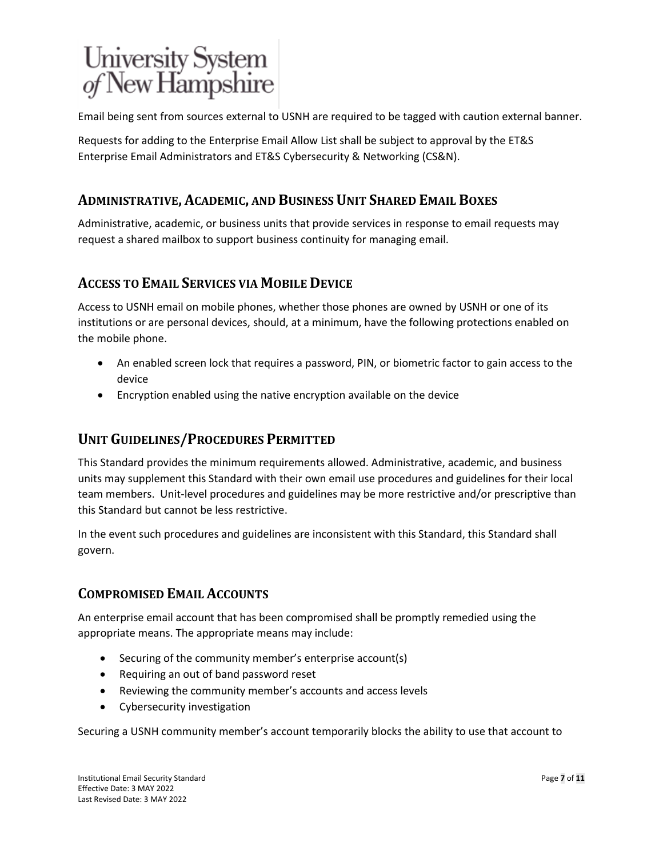Email being sent from sources external to USNH are required to be tagged with caution external banner.

Requests for adding to the Enterprise Email Allow List shall be subject to approval by the ET&S Enterprise Email Administrators and ET&S Cybersecurity & Networking (CS&N).

## **ADMINISTRATIVE, ACADEMIC, AND BUSINESS UNIT SHARED EMAIL BOXES**

Administrative, academic, or business units that provide services in response to email requests may request a shared mailbox to support business continuity for managing email.

### **ACCESS TO EMAIL SERVICES VIA MOBILE DEVICE**

Access to USNH email on mobile phones, whether those phones are owned by USNH or one of its institutions or are personal devices, should, at a minimum, have the following protections enabled on the mobile phone.

- An enabled screen lock that requires a password, PIN, or biometric factor to gain access to the device
- Encryption enabled using the native encryption available on the device

### **UNIT GUIDELINES/PROCEDURES PERMITTED**

This Standard provides the minimum requirements allowed. Administrative, academic, and business units may supplement this Standard with their own email use procedures and guidelines for their local team members. Unit-level procedures and guidelines may be more restrictive and/or prescriptive than this Standard but cannot be less restrictive.

In the event such procedures and guidelines are inconsistent with this Standard, this Standard shall govern.

## **COMPROMISED EMAIL ACCOUNTS**

An enterprise email account that has been compromised shall be promptly remedied using the appropriate means. The appropriate means may include:

- Securing of the community member's enterprise account(s)
- Requiring an out of band password reset
- Reviewing the community member's accounts and access levels
- Cybersecurity investigation

Securing a USNH community member's account temporarily blocks the ability to use that account to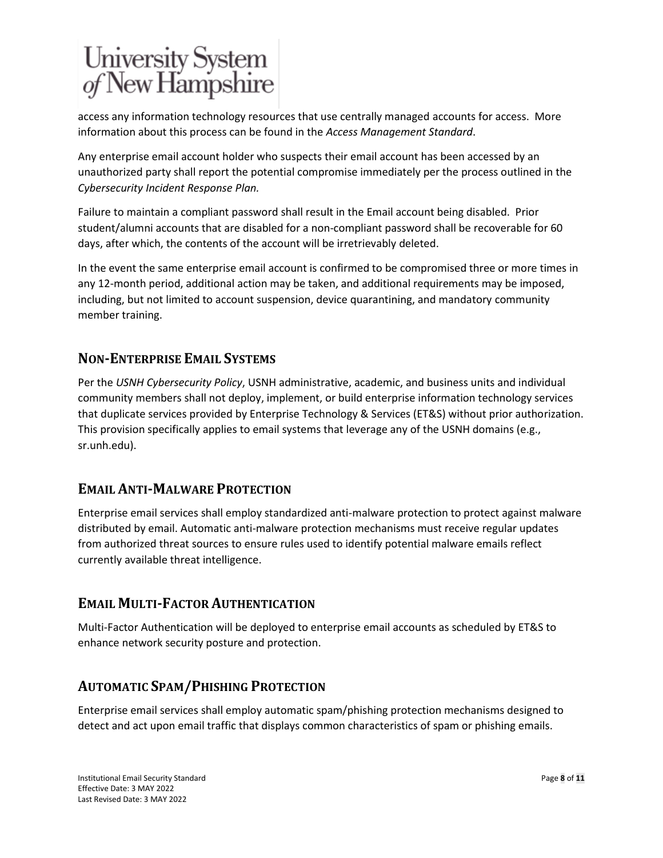access any information technology resources that use centrally managed accounts for access. More information about this process can be found in the *Access Management Standard*.

Any enterprise email account holder who suspects their email account has been accessed by an unauthorized party shall report the potential compromise immediately per the process outlined in the *Cybersecurity Incident Response Plan.*

Failure to maintain a compliant password shall result in the Email account being disabled. Prior student/alumni accounts that are disabled for a non-compliant password shall be recoverable for 60 days, after which, the contents of the account will be irretrievably deleted.

In the event the same enterprise email account is confirmed to be compromised three or more times in any 12-month period, additional action may be taken, and additional requirements may be imposed, including, but not limited to account suspension, device quarantining, and mandatory community member training.

## **NON-ENTERPRISE EMAIL SYSTEMS**

Per the *USNH Cybersecurity Policy*, USNH administrative, academic, and business units and individual community members shall not deploy, implement, or build enterprise information technology services that duplicate services provided by Enterprise Technology & Services (ET&S) without prior authorization. This provision specifically applies to email systems that leverage any of the USNH domains (e.g., sr.unh.edu).

### **EMAIL ANTI-MALWARE PROTECTION**

Enterprise email services shall employ standardized anti-malware protection to protect against malware distributed by email. Automatic anti-malware protection mechanisms must receive regular updates from authorized threat sources to ensure rules used to identify potential malware emails reflect currently available threat intelligence.

## **EMAIL MULTI-FACTOR AUTHENTICATION**

Multi-Factor Authentication will be deployed to enterprise email accounts as scheduled by ET&S to enhance network security posture and protection.

### **AUTOMATIC SPAM/PHISHING PROTECTION**

Enterprise email services shall employ automatic spam/phishing protection mechanisms designed to detect and act upon email traffic that displays common characteristics of spam or phishing emails.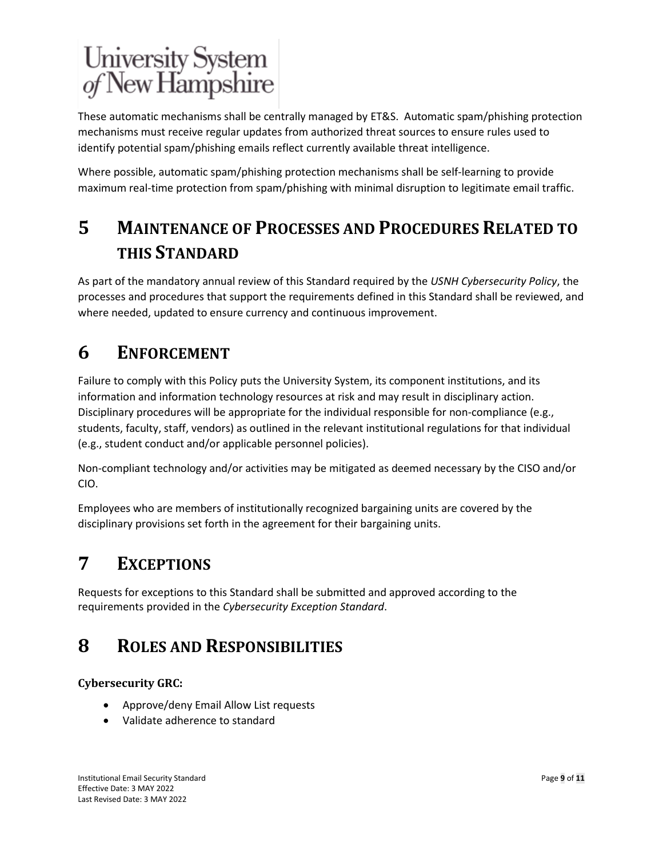These automatic mechanisms shall be centrally managed by ET&S. Automatic spam/phishing protection mechanisms must receive regular updates from authorized threat sources to ensure rules used to identify potential spam/phishing emails reflect currently available threat intelligence.

Where possible, automatic spam/phishing protection mechanisms shall be self-learning to provide maximum real-time protection from spam/phishing with minimal disruption to legitimate email traffic.

# **5 MAINTENANCE OF PROCESSES AND PROCEDURES RELATED TO THIS STANDARD**

As part of the mandatory annual review of this Standard required by the *USNH Cybersecurity Policy*, the processes and procedures that support the requirements defined in this Standard shall be reviewed, and where needed, updated to ensure currency and continuous improvement.

# **6 ENFORCEMENT**

Failure to comply with this Policy puts the University System, its component institutions, and its information and information technology resources at risk and may result in disciplinary action. Disciplinary procedures will be appropriate for the individual responsible for non-compliance (e.g., students, faculty, staff, vendors) as outlined in the relevant institutional regulations for that individual (e.g., student conduct and/or applicable personnel policies).

Non-compliant technology and/or activities may be mitigated as deemed necessary by the CISO and/or CIO.

Employees who are members of institutionally recognized bargaining units are covered by the disciplinary provisions set forth in the agreement for their bargaining units.

# **7 EXCEPTIONS**

Requests for exceptions to this Standard shall be submitted and approved according to the requirements provided in the *Cybersecurity Exception Standard*.

# **8 ROLES AND RESPONSIBILITIES**

### **Cybersecurity GRC:**

- Approve/deny Email Allow List requests
- Validate adherence to standard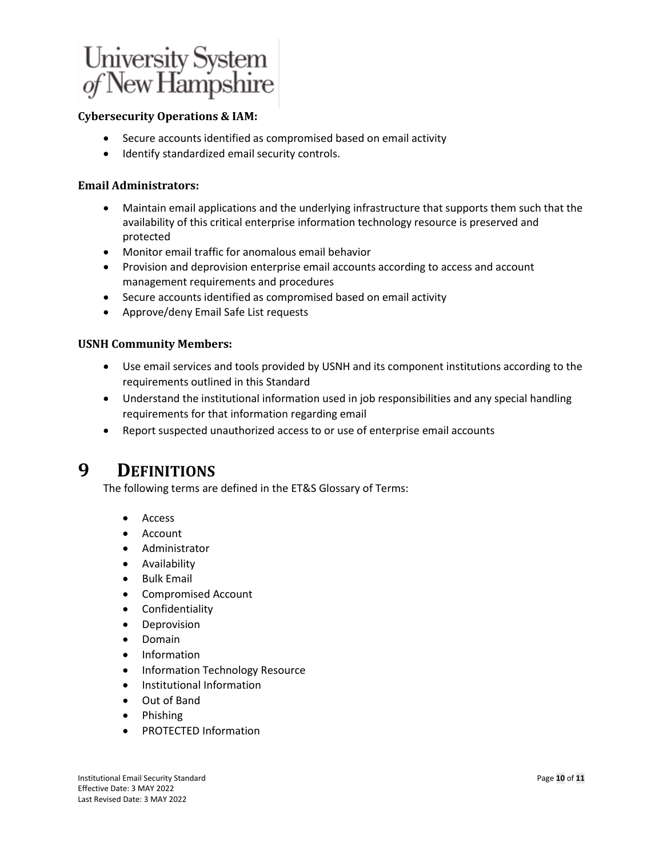

#### **Cybersecurity Operations & IAM:**

- Secure accounts identified as compromised based on email activity
- Identify standardized email security controls.

#### **Email Administrators:**

- Maintain email applications and the underlying infrastructure that supports them such that the availability of this critical enterprise information technology resource is preserved and protected
- Monitor email traffic for anomalous email behavior
- Provision and deprovision enterprise email accounts according to access and account management requirements and procedures
- Secure accounts identified as compromised based on email activity
- Approve/deny Email Safe List requests

#### **USNH Community Members:**

- Use email services and tools provided by USNH and its component institutions according to the requirements outlined in this Standard
- Understand the institutional information used in job responsibilities and any special handling requirements for that information regarding email
- Report suspected unauthorized access to or use of enterprise email accounts

## **9 DEFINITIONS**

The following terms are defined in th[e ET&S Glossary of Terms:](https://www.usnh.edu/it/sites/default/files/media/2021-01/usnh-ets-ps-glossary-of-terms.pdf)

- Access
- Account
- Administrator
- Availability
- Bulk Email
- Compromised Account
- Confidentiality
- Deprovision
- Domain
- Information
- Information Technology Resource
- Institutional Information
- Out of Band
- Phishing
- PROTECTED Information